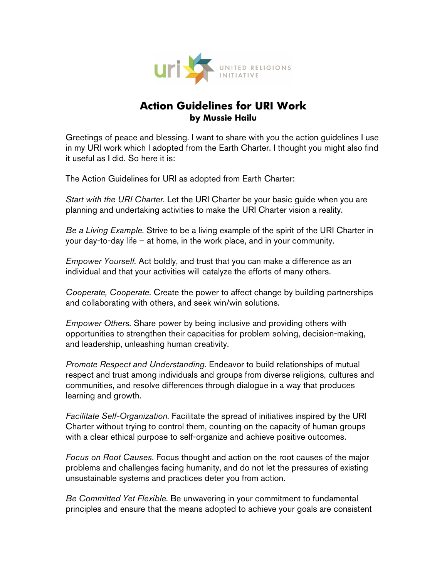

## **Action Guidelines for URI Work by Mussie Hailu**

Greetings of peace and blessing. I want to share with you the action guidelines I use in my URI work which I adopted from the Earth Charter. I thought you might also find it useful as I did. So here it is:

The Action Guidelines for URI as adopted from Earth Charter:

Start with the URI Charter. Let the URI Charter be your basic guide when you are planning and undertaking activities to make the URI Charter vision a reality.

Be a Living Example. Strive to be a living example of the spirit of the URI Charter in your day-to-day life – at home, in the work place, and in your community.

Empower Yourself. Act boldly, and trust that you can make a difference as an individual and that your activities will catalyze the efforts of many others.

Cooperate, Cooperate. Create the power to affect change by building partnerships and collaborating with others, and seek win/win solutions.

Empower Others. Share power by being inclusive and providing others with opportunities to strengthen their capacities for problem solving, decision-making, and leadership, unleashing human creativity.

Promote Respect and Understanding. Endeavor to build relationships of mutual respect and trust among individuals and groups from diverse religions, cultures and communities, and resolve differences through dialogue in a way that produces learning and growth.

Facilitate Self-Organization. Facilitate the spread of initiatives inspired by the URI Charter without trying to control them, counting on the capacity of human groups with a clear ethical purpose to self-organize and achieve positive outcomes.

Focus on Root Causes. Focus thought and action on the root causes of the major problems and challenges facing humanity, and do not let the pressures of existing unsustainable systems and practices deter you from action.

Be Committed Yet Flexible. Be unwavering in your commitment to fundamental principles and ensure that the means adopted to achieve your goals are consistent